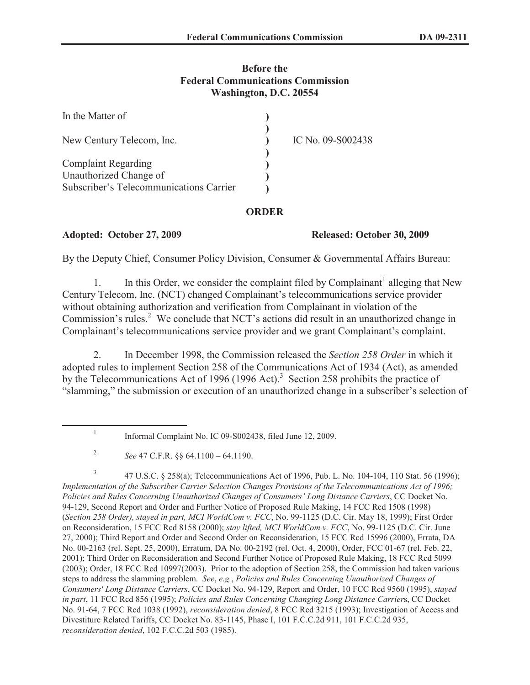## **Before the Federal Communications Commission Washington, D.C. 20554**

| In the Matter of                        |                   |
|-----------------------------------------|-------------------|
| New Century Telecom, Inc.               | IC No. 09-S002438 |
| <b>Complaint Regarding</b>              |                   |
| Unauthorized Change of                  |                   |
| Subscriber's Telecommunications Carrier |                   |

#### **ORDER**

## **Adopted: October 27, 2009 Released: October 30, 2009**

By the Deputy Chief, Consumer Policy Division, Consumer & Governmental Affairs Bureau:

1. In this Order, we consider the complaint filed by Complainant<sup>1</sup> alleging that New Century Telecom, Inc. (NCT) changed Complainant's telecommunications service provider without obtaining authorization and verification from Complainant in violation of the Commission's rules.<sup>2</sup> We conclude that NCT's actions did result in an unauthorized change in Complainant's telecommunications service provider and we grant Complainant's complaint.

2. In December 1998, the Commission released the *Section 258 Order* in which it adopted rules to implement Section 258 of the Communications Act of 1934 (Act), as amended by the Telecommunications Act of 1996 (1996 Act).<sup>3</sup> Section 258 prohibits the practice of "slamming," the submission or execution of an unauthorized change in a subscriber's selection of

3 47 U.S.C. § 258(a); Telecommunications Act of 1996, Pub. L. No. 104-104, 110 Stat. 56 (1996); *Implementation of the Subscriber Carrier Selection Changes Provisions of the Telecommunications Act of 1996; Policies and Rules Concerning Unauthorized Changes of Consumers' Long Distance Carriers*, CC Docket No. 94-129, Second Report and Order and Further Notice of Proposed Rule Making, 14 FCC Rcd 1508 (1998) (*Section 258 Order), stayed in part, MCI WorldCom v. FCC*, No. 99-1125 (D.C. Cir. May 18, 1999); First Order on Reconsideration, 15 FCC Rcd 8158 (2000); *stay lifted, MCI WorldCom v. FCC*, No. 99-1125 (D.C. Cir. June 27, 2000); Third Report and Order and Second Order on Reconsideration, 15 FCC Rcd 15996 (2000), Errata, DA No. 00-2163 (rel. Sept. 25, 2000), Erratum, DA No. 00-2192 (rel. Oct. 4, 2000), Order, FCC 01-67 (rel. Feb. 22, 2001); Third Order on Reconsideration and Second Further Notice of Proposed Rule Making, 18 FCC Rcd 5099 (2003); Order, 18 FCC Rcd 10997(2003). Prior to the adoption of Section 258, the Commission had taken various steps to address the slamming problem. *See*, *e.g.*, *Policies and Rules Concerning Unauthorized Changes of Consumers' Long Distance Carriers*, CC Docket No. 94-129, Report and Order, 10 FCC Rcd 9560 (1995), *stayed in part*, 11 FCC Rcd 856 (1995); *Policies and Rules Concerning Changing Long Distance Carrier*s, CC Docket No. 91-64, 7 FCC Rcd 1038 (1992), *reconsideration denied*, 8 FCC Rcd 3215 (1993); Investigation of Access and Divestiture Related Tariffs, CC Docket No. 83-1145, Phase I, 101 F.C.C.2d 911, 101 F.C.C.2d 935, *reconsideration denied*, 102 F.C.C.2d 503 (1985).

<sup>1</sup> Informal Complaint No. IC 09-S002438, filed June 12, 2009.

<sup>2</sup> *See* 47 C.F.R. §§ 64.1100 – 64.1190.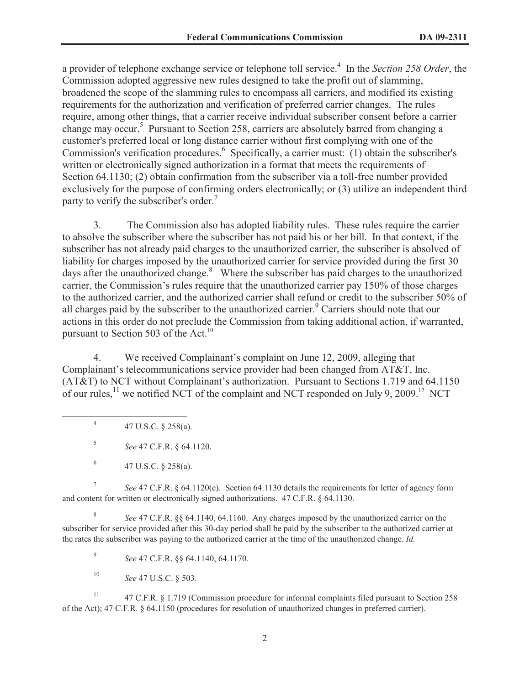a provider of telephone exchange service or telephone toll service.<sup>4</sup> In the *Section 258 Order*, the Commission adopted aggressive new rules designed to take the profit out of slamming, broadened the scope of the slamming rules to encompass all carriers, and modified its existing requirements for the authorization and verification of preferred carrier changes. The rules require, among other things, that a carrier receive individual subscriber consent before a carrier change may occur.<sup>5</sup> Pursuant to Section 258, carriers are absolutely barred from changing a customer's preferred local or long distance carrier without first complying with one of the Commission's verification procedures.<sup>6</sup> Specifically, a carrier must: (1) obtain the subscriber's written or electronically signed authorization in a format that meets the requirements of Section 64.1130; (2) obtain confirmation from the subscriber via a toll-free number provided exclusively for the purpose of confirming orders electronically; or (3) utilize an independent third party to verify the subscriber's order.<sup>7</sup>

3. The Commission also has adopted liability rules. These rules require the carrier to absolve the subscriber where the subscriber has not paid his or her bill. In that context, if the subscriber has not already paid charges to the unauthorized carrier, the subscriber is absolved of liability for charges imposed by the unauthorized carrier for service provided during the first 30 days after the unauthorized change. $8\text{ }$  Where the subscriber has paid charges to the unauthorized carrier, the Commission's rules require that the unauthorized carrier pay 150% of those charges to the authorized carrier, and the authorized carrier shall refund or credit to the subscriber 50% of all charges paid by the subscriber to the unauthorized carrier.<sup>9</sup> Carriers should note that our actions in this order do not preclude the Commission from taking additional action, if warranted, pursuant to Section 503 of the Act.<sup>10</sup>

4. We received Complainant's complaint on June 12, 2009, alleging that Complainant's telecommunications service provider had been changed from AT&T, Inc. (AT&T) to NCT without Complainant's authorization. Pursuant to Sections 1.719 and 64.1150 of our rules,<sup>11</sup> we notified NCT of the complaint and NCT responded on July 9, 2009.<sup>12</sup> NCT

4 47 U.S.C. § 258(a).

5 *See* 47 C.F.R. § 64.1120.

7 *See* 47 C.F.R. § 64.1120(c). Section 64.1130 details the requirements for letter of agency form and content for written or electronically signed authorizations. 47 C.F.R. § 64.1130.

8 *See* 47 C.F.R. §§ 64.1140, 64.1160. Any charges imposed by the unauthorized carrier on the subscriber for service provided after this 30-day period shall be paid by the subscriber to the authorized carrier at the rates the subscriber was paying to the authorized carrier at the time of the unauthorized change. *Id.*

9 *See* 47 C.F.R. §§ 64.1140, 64.1170.

<sup>10</sup> *See* 47 U.S.C. § 503.

<sup>11</sup> 47 C.F.R. § 1.719 (Commission procedure for informal complaints filed pursuant to Section 258 of the Act); 47 C.F.R. § 64.1150 (procedures for resolution of unauthorized changes in preferred carrier).

<sup>6</sup> 47 U.S.C. § 258(a).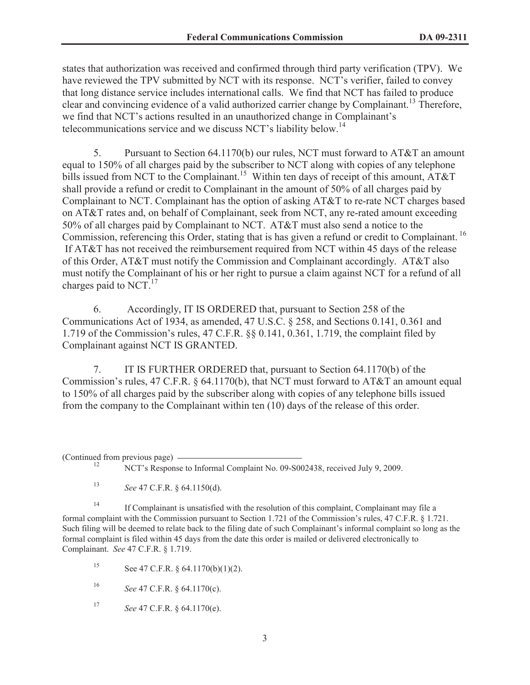states that authorization was received and confirmed through third party verification (TPV). We have reviewed the TPV submitted by NCT with its response. NCT's verifier, failed to convey that long distance service includes international calls. We find that NCT has failed to produce clear and convincing evidence of a valid authorized carrier change by Complainant.<sup>13</sup> Therefore, we find that NCT's actions resulted in an unauthorized change in Complainant's telecommunications service and we discuss NCT's liability below.<sup>14</sup>

5. Pursuant to Section 64.1170(b) our rules, NCT must forward to AT&T an amount equal to 150% of all charges paid by the subscriber to NCT along with copies of any telephone bills issued from NCT to the Complainant.<sup>15</sup> Within ten days of receipt of this amount,  $\angle AT&T$ shall provide a refund or credit to Complainant in the amount of 50% of all charges paid by Complainant to NCT. Complainant has the option of asking AT&T to re-rate NCT charges based on AT&T rates and, on behalf of Complainant, seek from NCT, any re-rated amount exceeding 50% of all charges paid by Complainant to NCT. AT&T must also send a notice to the Commission, referencing this Order, stating that is has given a refund or credit to Complainant. <sup>16</sup> If AT&T has not received the reimbursement required from NCT within 45 days of the release of this Order, AT&T must notify the Commission and Complainant accordingly. AT&T also must notify the Complainant of his or her right to pursue a claim against NCT for a refund of all charges paid to NCT. $^{17}$ 

6. Accordingly, IT IS ORDERED that, pursuant to Section 258 of the Communications Act of 1934, as amended, 47 U.S.C. § 258, and Sections 0.141, 0.361 and 1.719 of the Commission's rules, 47 C.F.R. §§ 0.141, 0.361, 1.719, the complaint filed by Complainant against NCT IS GRANTED.

7. IT IS FURTHER ORDERED that, pursuant to Section 64.1170(b) of the Commission's rules, 47 C.F.R. § 64.1170(b), that NCT must forward to AT&T an amount equal to 150% of all charges paid by the subscriber along with copies of any telephone bills issued from the company to the Complainant within ten (10) days of the release of this order.

(Continued from previous page)

<sup>12</sup> NCT's Response to Informal Complaint No. 09-S002438, received July 9, 2009.

<sup>13</sup> *See* 47 C.F.R. § 64.1150(d).

<sup>14</sup> If Complainant is unsatisfied with the resolution of this complaint, Complainant may file a formal complaint with the Commission pursuant to Section 1.721 of the Commission's rules, 47 C.F.R. § 1.721. Such filing will be deemed to relate back to the filing date of such Complainant's informal complaint so long as the formal complaint is filed within 45 days from the date this order is mailed or delivered electronically to Complainant. *See* 47 C.F.R. § 1.719.

15 See 47 C.F.R.  $\S$  64.1170(b)(1)(2).

<sup>16</sup> *See* 47 C.F.R. § 64.1170(c).

<sup>17</sup> *See* 47 C.F.R. § 64.1170(e).